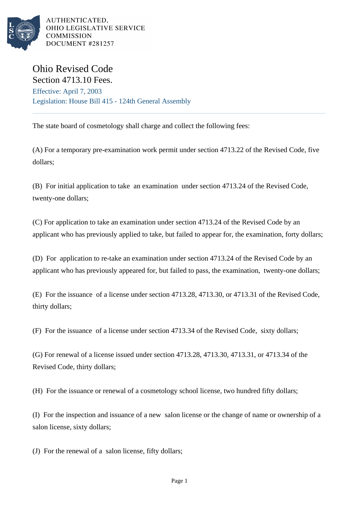

AUTHENTICATED. OHIO LEGISLATIVE SERVICE **COMMISSION** DOCUMENT #281257

## Ohio Revised Code

Section 4713.10 Fees. Effective: April 7, 2003 Legislation: House Bill 415 - 124th General Assembly

The state board of cosmetology shall charge and collect the following fees:

(A) For a temporary pre-examination work permit under section 4713.22 of the Revised Code, five dollars;

(B) For initial application to take an examination under section 4713.24 of the Revised Code, twenty-one dollars;

(C) For application to take an examination under section 4713.24 of the Revised Code by an applicant who has previously applied to take, but failed to appear for, the examination, forty dollars;

(D) For application to re-take an examination under section 4713.24 of the Revised Code by an applicant who has previously appeared for, but failed to pass, the examination, twenty-one dollars;

(E) For the issuance of a license under section 4713.28, 4713.30, or 4713.31 of the Revised Code, thirty dollars;

(F) For the issuance of a license under section 4713.34 of the Revised Code, sixty dollars;

(G) For renewal of a license issued under section 4713.28, 4713.30, 4713.31, or 4713.34 of the Revised Code, thirty dollars;

(H) For the issuance or renewal of a cosmetology school license, two hundred fifty dollars;

(I) For the inspection and issuance of a new salon license or the change of name or ownership of a salon license, sixty dollars;

(J) For the renewal of a salon license, fifty dollars;